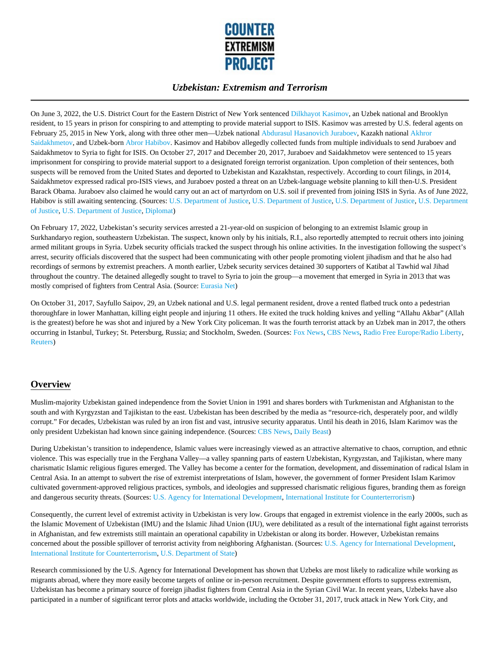

On June 3, 2022, the U.S. District Court for the Eastern District of New York sentenced Dilkhayot Kasimov, an Uzbek national and Brooklyn resident, to 15 years in prison for conspiring to and attempting to provide material support to ISIS. Kasimov was arrested by U.S. federal agents on February 25, 2015 in New York, along with three other men—Uzbek national Abdurasul Hasanovich Juraboev, Kazakh national Akhror Saidakhmetov, and Uzbek-born Abror Habibov. Kasimov and Habibov allegedly collected funds from multiple individuals to send Juraboev and Saidakhmetov to Syria to fight for ISIS. On October 27, 2017 and December 20, 2017, Juraboev and Saidakhmetov were sentenced to 15 years imprisonment for conspiring to provide material support to a designated foreign terrorist organization. Upon completion of their sentences, both suspects will be removed from the United States and deported to Uzbekistan and Kazakhstan, respectively. According to court filings, in 2014, Saidakhmetov expressed radical pro-ISIS views, and Juraboev posted a threat on an Uzbek-language website planning to kill then-U.S. President Barack Obama. Juraboev also claimed he would carry out an act of martyrdom on U.S. soil if prevented from joining ISIS in Syria. As of June 2022, Habibov is still awaiting sentencing. (Sources: U.S. Department of Justice, U.S. Department of Justice, U.S. Department of Justice, U.S. Department of Justice, U.S. Department of Justice, Diplomat)

On February 17, 2022, Uzbekistan's security services arrested a 21-year-old on suspicion of belonging to an extremist Islamic group in Surkhandaryo region, southeastern Uzbekistan. The suspect, known only by his initials, R.I., also reportedly attempted to recruit others into joining armed militant groups in Syria. Uzbek security officials tracked the suspect through his online activities. In the investigation following the suspect's arrest, security officials discovered that the suspect had been communicating with other people promoting violent jihadism and that he also had recordings of sermons by extremist preachers. A month earlier, Uzbek security services detained 30 supporters of Katibat al Tawhid wal Jihad throughout the country. The detained allegedly sought to travel to Syria to join the group—a movement that emerged in Syria in 2013 that was mostly comprised of fighters from Central Asia. (Source: Eurasia Net)

On October 31, 2017, Sayfullo Saipov, 29, an Uzbek national and U.S. legal permanent resident, drove a rented flatbed truck onto a pedestrian thoroughfare in lower Manhattan, killing eight people and injuring 11 others. He exited the truck holding knives and yelling "Allahu Akbar" (Allah is the greatest) before he was shot and injured by a New York City policeman. It was the fourth terrorist attack by an Uzbek man in 2017, the others occurring in Istanbul, Turkey; St. Petersburg, Russia; and Stockholm, Sweden. (Sources: Fox News, CBS News, Radio Free Europe/Radio Liberty, Reuters)

## **Overview**

Muslim-majority Uzbekistan gained independence from the Soviet Union in 1991 and shares borders with Turkmenistan and Afghanistan to the south and with Kyrgyzstan and Tajikistan to the east. Uzbekistan has been described by the media as "resource-rich, desperately poor, and wildly corrupt." For decades, Uzbekistan was ruled by an iron fist and vast, intrusive security apparatus. Until his death in 2016, Islam Karimov was the only president Uzbekistan had known since gaining independence. (Sources: CBS News, Daily Beast)

During Uzbekistan's transition to independence, Islamic values were increasingly viewed as an attractive alternative to chaos, corruption, and ethnic violence. This was especially true in the Ferghana Valley––a valley spanning parts of eastern Uzbekistan, Kyrgyzstan, and Tajikistan, where many charismatic Islamic religious figures emerged. The Valley has become a center for the formation, development, and dissemination of radical Islam in Central Asia. In an attempt to subvert the rise of extremist interpretations of Islam, however, the government of former President Islam Karimov cultivated government-approved religious practices, symbols, and ideologies and suppressed charismatic religious figures, branding them as foreign and dangerous security threats. (Sources: U.S. Agency for International Development, International Institute for Counterterrorism)

Consequently, the current level of extremist activity in Uzbekistan is very low. Groups that engaged in extremist violence in the early 2000s, such as the Islamic Movement of Uzbekistan (IMU) and the Islamic Jihad Union (IJU), were debilitated as a result of the international fight against terrorists in Afghanistan, and few extremists still maintain an operational capability in Uzbekistan or along its border. However, Uzbekistan remains concerned about the possible spillover of terrorist activity from neighboring Afghanistan. (Sources: U.S. Agency for International Development, International Institute for Counterterrorism, U.S. Department of State)

Research commissioned by the U.S. Agency for International Development has shown that Uzbeks are most likely to radicalize while working as migrants abroad, where they more easily become targets of online or in-person recruitment. Despite government efforts to suppress extremism, Uzbekistan has become a primary source of foreign jihadist fighters from Central Asia in the Syrian Civil War. In recent years, Uzbeks have also participated in a number of significant terror plots and attacks worldwide, including the October 31, 2017, truck attack in New York City, and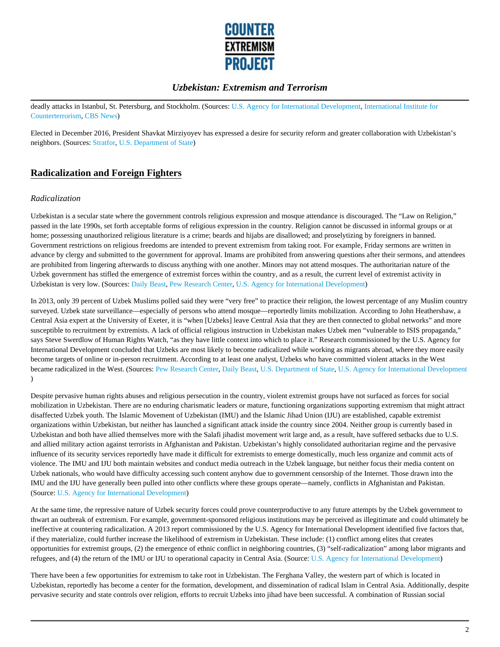

deadly attacks in Istanbul, St. Petersburg, and Stockholm. (Sources: U.S. Agency for International Development, International Institute for Counterterrorism, CBS News)

Elected in December 2016, President Shavkat Mirziyoyev has expressed a desire for security reform and greater collaboration with Uzbekistan's neighbors. (Sources: Stratfor, U.S. Department of State)

# **Radicalization and Foreign Fighters**

#### *Radicalization*

Uzbekistan is a secular state where the government controls religious expression and mosque attendance is discouraged. The "Law on Religion," passed in the late 1990s, set forth acceptable forms of religious expression in the country. Religion cannot be discussed in informal groups or at home; possessing unauthorized religious literature is a crime; beards and hijabs are disallowed; and proselytizing by foreigners in banned. Government restrictions on religious freedoms are intended to prevent extremism from taking root. For example, Friday sermons are written in advance by clergy and submitted to the government for approval. Imams are prohibited from answering questions after their sermons, and attendees are prohibited from lingering afterwards to discuss anything with one another. Minors may not attend mosques. The authoritarian nature of the Uzbek government has stifled the emergence of extremist forces within the country, and as a result, the current level of extremist activity in Uzbekistan is very low. (Sources: Daily Beast, Pew Research Center, U.S. Agency for International Development)

In 2013, only 39 percent of Uzbek Muslims polled said they were "very free" to practice their religion, the lowest percentage of any Muslim country surveyed. Uzbek state surveillance––especially of persons who attend mosque––reportedly limits mobilization. According to John Heathershaw, a Central Asia expert at the University of Exeter, it is "when [Uzbeks] leave Central Asia that they are then connected to global networks" and more susceptible to recruitment by extremists. A lack of official religious instruction in Uzbekistan makes Uzbek men "vulnerable to ISIS propaganda," says Steve Swerdlow of Human Rights Watch, "as they have little context into which to place it." Research commissioned by the U.S. Agency for International Development concluded that Uzbeks are most likely to become radicalized while working as migrants abroad, where they more easily become targets of online or in-person recruitment. According to at least one analyst, Uzbeks who have committed violent attacks in the West became radicalized in the West. (Sources: Pew Research Center, Daily Beast, U.S. Department of State, U.S. Agency for International Development )

Despite pervasive human rights abuses and religious persecution in the country, violent extremist groups have not surfaced as forces for social mobilization in Uzbekistan. There are no enduring charismatic leaders or mature, functioning organizations supporting extremism that might attract disaffected Uzbek youth. The Islamic Movement of Uzbekistan (IMU) and the Islamic Jihad Union (IJU) are established, capable extremist organizations within Uzbekistan, but neither has launched a significant attack inside the country since 2004. Neither group is currently based in Uzbekistan and both have allied themselves more with the Salafi jihadist movement writ large and, as a result, have suffered setbacks due to U.S. and allied military action against terrorists in Afghanistan and Pakistan. Uzbekistan's highly consolidated authoritarian regime and the pervasive influence of its security services reportedly have made it difficult for extremists to emerge domestically, much less organize and commit acts of violence. The IMU and IJU both maintain websites and conduct media outreach in the Uzbek language, but neither focus their media content on Uzbek nationals, who would have difficulty accessing such content anyhow due to government censorship of the Internet. Those drawn into the IMU and the IJU have generally been pulled into other conflicts where these groups operate––namely, conflicts in Afghanistan and Pakistan. (Source: U.S. Agency for International Development)

At the same time, the repressive nature of Uzbek security forces could prove counterproductive to any future attempts by the Uzbek government to thwart an outbreak of extremism. For example, government-sponsored religious institutions may be perceived as illegitimate and could ultimately be ineffective at countering radicalization. A 2013 report commissioned by the U.S. Agency for International Development identified five factors that, if they materialize, could further increase the likelihood of extremism in Uzbekistan. These include: (1) conflict among elites that creates opportunities for extremist groups, (2) the emergence of ethnic conflict in neighboring countries, (3) "self-radicalization" among labor migrants and refugees, and (4) the return of the IMU or IJU to operational capacity in Central Asia. (Source: U.S. Agency for International Development)

There have been a few opportunities for extremism to take root in Uzbekistan. The Ferghana Valley, the western part of which is located in Uzbekistan, reportedly has become a center for the formation, development, and dissemination of radical Islam in Central Asia. Additionally, despite pervasive security and state controls over religion, efforts to recruit Uzbeks into jihad have been successful. A combination of Russian social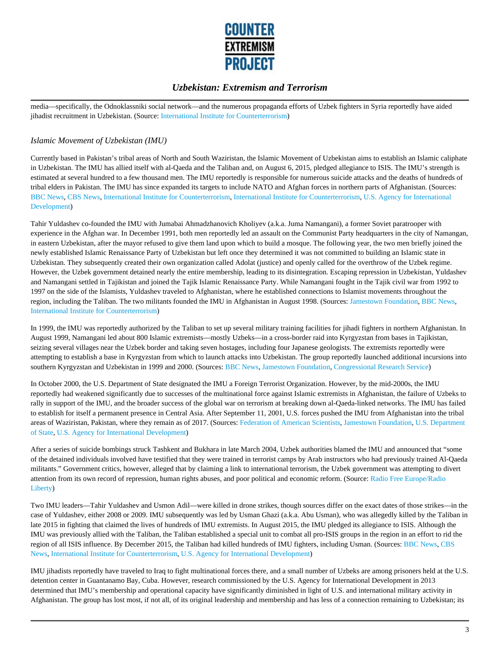

media––specifically, the Odnoklassniki social network––and the numerous propaganda efforts of Uzbek fighters in Syria reportedly have aided jihadist recruitment in Uzbekistan. (Source: International Institute for Counterterrorism)

### *Islamic Movement of Uzbekistan (IMU)*

Currently based in Pakistan's tribal areas of North and South Waziristan, the Islamic Movement of Uzbekistan aims to establish an Islamic caliphate in Uzbekistan. The IMU has allied itself with al-Qaeda and the Taliban and, on August 6, 2015, pledged allegiance to ISIS. The IMU's strength is estimated at several hundred to a few thousand men. The IMU reportedly is responsible for numerous suicide attacks and the deaths of hundreds of tribal elders in Pakistan. The IMU has since expanded its targets to include NATO and Afghan forces in northern parts of Afghanistan. (Sources: BBC News, CBS News, International Institute for Counterterrorism, International Institute for Counterterrorism, U.S. Agency for International Development)

Tahir Yuldashev co-founded the IMU with Jumabai Ahmadzhanovich Kholiyev (a.k.a. Juma Namangani), a former Soviet paratrooper with experience in the Afghan war. In December 1991, both men reportedly led an assault on the Communist Party headquarters in the city of Namangan, in eastern Uzbekistan, after the mayor refused to give them land upon which to build a mosque. The following year, the two men briefly joined the newly established Islamic Renaissance Party of Uzbekistan but left once they determined it was not committed to building an Islamic state in Uzbekistan. They subsequently created their own organization called Adolat (justice) and openly called for the overthrow of the Uzbek regime. However, the Uzbek government detained nearly the entire membership, leading to its disintegration. Escaping repression in Uzbekistan, Yuldashev and Namangani settled in Tajikistan and joined the Tajik Islamic Renaissance Party. While Namangani fought in the Tajik civil war from 1992 to 1997 on the side of the Islamists, Yuldashev traveled to Afghanistan, where he established connections to Islamist movements throughout the region, including the Taliban. The two militants founded the IMU in Afghanistan in August 1998. (Sources: Jamestown Foundation, BBC News, International Institute for Counterterrorism)

In 1999, the IMU was reportedly authorized by the Taliban to set up several military training facilities for jihadi fighters in northern Afghanistan. In August 1999, Namangani led about 800 Islamic extremists––mostly Uzbeks––in a cross-border raid into Kyrgyzstan from bases in Tajikistan, seizing several villages near the Uzbek border and taking seven hostages, including four Japanese geologists. The extremists reportedly were attempting to establish a base in Kyrgyzstan from which to launch attacks into Uzbekistan. The group reportedly launched additional incursions into southern Kyrgyzstan and Uzbekistan in 1999 and 2000. (Sources: BBC News, Jamestown Foundation, Congressional Research Service)

In October 2000, the U.S. Department of State designated the IMU a Foreign Terrorist Organization. However, by the mid-2000s, the IMU reportedly had weakened significantly due to successes of the multinational force against Islamic extremists in Afghanistan, the failure of Uzbeks to rally in support of the IMU, and the broader success of the global war on terrorism at breaking down al-Qaeda-linked networks. The IMU has failed to establish for itself a permanent presence in Central Asia. After September 11, 2001, U.S. forces pushed the IMU from Afghanistan into the tribal areas of Waziristan, Pakistan, where they remain as of 2017. (Sources: Federation of American Scientists, Jamestown Foundation, U.S. Department of State, U.S. Agency for International Development)

After a series of suicide bombings struck Tashkent and Bukhara in late March 2004, Uzbek authorities blamed the IMU and announced that "some of the detained individuals involved have testified that they were trained in terrorist camps by Arab instructors who had previously trained Al-Qaeda militants." Government critics, however, alleged that by claiming a link to international terrorism, the Uzbek government was attempting to divert attention from its own record of repression, human rights abuses, and poor political and economic reform. (Source: Radio Free Europe/Radio Liberty)

Two IMU leaders––Tahir Yuldashev and Usmon Adil––were killed in drone strikes, though sources differ on the exact dates of those strikes––in the case of Yuldashev, either 2008 or 2009. IMU subsequently was led by Usman Ghazi (a.k.a. Abu Usman), who was allegedly killed by the Taliban in late 2015 in fighting that claimed the lives of hundreds of IMU extremists. In August 2015, the IMU pledged its allegiance to ISIS. Although the IMU was previously allied with the Taliban, the Taliban established a special unit to combat all pro-ISIS groups in the region in an effort to rid the region of all ISIS influence. By December 2015, the Taliban had killed hundreds of IMU fighters, including Usman. (Sources: BBC News, CBS News, International Institute for Counterterrorism, U.S. Agency for International Development)

IMU jihadists reportedly have traveled to Iraq to fight multinational forces there, and a small number of Uzbeks are among prisoners held at the U.S. detention center in Guantanamo Bay, Cuba. However, research commissioned by the U.S. Agency for International Development in 2013 determined that IMU's membership and operational capacity have significantly diminished in light of U.S. and international military activity in Afghanistan. The group has lost most, if not all, of its original leadership and membership and has less of a connection remaining to Uzbekistan; its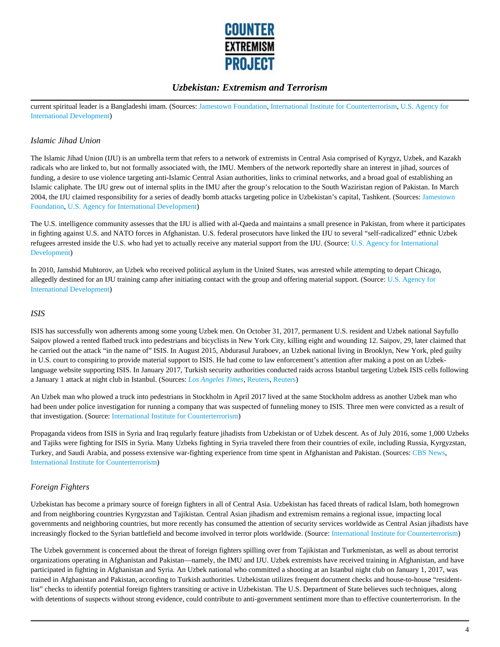

current spiritual leader is a Bangladeshi imam. (Sources: Jamestown Foundation, International Institute for Counterterrorism, U.S. Agency for International Development)

### *Islamic Jihad Union*

The Islamic Jihad Union (IJU) is an umbrella term that refers to a network of extremists in Central Asia comprised of Kyrgyz, Uzbek, and Kazakh radicals who are linked to, but not formally associated with, the IMU. Members of the network reportedly share an interest in jihad, sources of funding, a desire to use violence targeting anti-Islamic Central Asian authorities, links to criminal networks, and a broad goal of establishing an Islamic caliphate. The IJU grew out of internal splits in the IMU after the group's relocation to the South Waziristan region of Pakistan. In March 2004, the IJU claimed responsibility for a series of deadly bomb attacks targeting police in Uzbekistan's capital, Tashkent. (Sources: Jamestown Foundation, U.S. Agency for International Development)

The U.S. intelligence community assesses that the IJU is allied with al-Qaeda and maintains a small presence in Pakistan, from where it participates in fighting against U.S. and NATO forces in Afghanistan. U.S. federal prosecutors have linked the IJU to several "self-radicalized" ethnic Uzbek refugees arrested inside the U.S. who had yet to actually receive any material support from the IJU. (Source: U.S. Agency for International Development)

In 2010, Jamshid Muhtorov, an Uzbek who received political asylum in the United States, was arrested while attempting to depart Chicago, allegedly destined for an IJU training camp after initiating contact with the group and offering material support. (Source: U.S. Agency for International Development)

### *ISIS*

ISIS has successfully won adherents among some young Uzbek men. On October 31, 2017, permanent U.S. resident and Uzbek national Sayfullo Saipov plowed a rented flatbed truck into pedestrians and bicyclists in New York City, killing eight and wounding 12. Saipov, 29, later claimed that he carried out the attack "in the name of" ISIS. In August 2015, Abdurasul Juraboev, an Uzbek national living in Brooklyn, New York, pled guilty in U.S. court to conspiring to provide material support to ISIS. He had come to law enforcement's attention after making a post on an Uzbeklanguage website supporting ISIS. In January 2017, Turkish security authorities conducted raids across Istanbul targeting Uzbek ISIS cells following a January 1 attack at night club in Istanbul. (Sources: *Los Angeles Times*, Reuters, Reuters)

An Uzbek man who plowed a truck into pedestrians in Stockholm in April 2017 lived at the same Stockholm address as another Uzbek man who had been under police investigation for running a company that was suspected of funneling money to ISIS. Three men were convicted as a result of that investigation. (Source: International Institute for Counterterrorism)

Propaganda videos from ISIS in Syria and Iraq regularly feature jihadists from Uzbekistan or of Uzbek descent. As of July 2016, some 1,000 Uzbeks and Tajiks were fighting for ISIS in Syria. Many Uzbeks fighting in Syria traveled there from their countries of exile, including Russia, Kyrgyzstan, Turkey, and Saudi Arabia, and possess extensive war-fighting experience from time spent in Afghanistan and Pakistan. (Sources: CBS News, International Institute for Counterterrorism)

### *Foreign Fighters*

Uzbekistan has become a primary source of foreign fighters in all of Central Asia. Uzbekistan has faced threats of radical Islam, both homegrown and from neighboring countries Kyrgyzstan and Tajikistan. Central Asian jihadism and extremism remains a regional issue, impacting local governments and neighboring countries, but more recently has consumed the attention of security services worldwide as Central Asian jihadists have increasingly flocked to the Syrian battlefield and become involved in terror plots worldwide. (Source: International Institute for Counterterrorism)

The Uzbek government is concerned about the threat of foreign fighters spilling over from Tajikistan and Turkmenistan, as well as about terrorist organizations operating in Afghanistan and Pakistan––namely, the IMU and IJU. Uzbek extremists have received training in Afghanistan, and have participated in fighting in Afghanistan and Syria. An Uzbek national who committed a shooting at an Istanbul night club on January 1, 2017, was trained in Afghanistan and Pakistan, according to Turkish authorities. Uzbekistan utilizes frequent document checks and house-to-house "residentlist" checks to identify potential foreign fighters transiting or active in Uzbekistan. The U.S. Department of State believes such techniques, along with detentions of suspects without strong evidence, could contribute to anti-government sentiment more than to effective counterterrorism. In the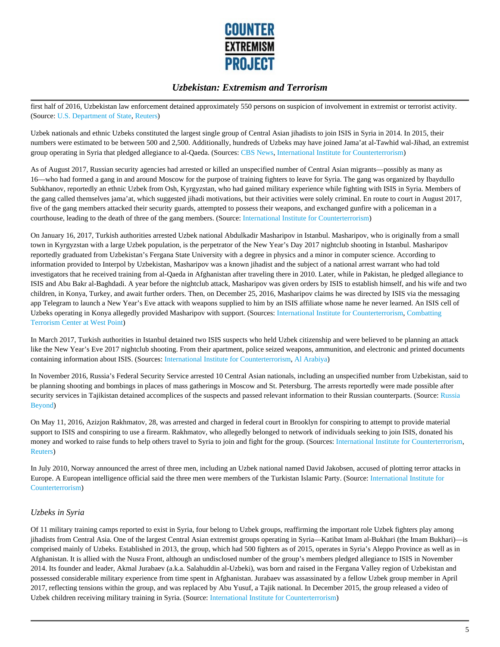

first half of 2016, Uzbekistan law enforcement detained approximately 550 persons on suspicion of involvement in extremist or terrorist activity. (Source: U.S. Department of State, Reuters)

Uzbek nationals and ethnic Uzbeks constituted the largest single group of Central Asian jihadists to join ISIS in Syria in 2014. In 2015, their numbers were estimated to be between 500 and 2,500. Additionally, hundreds of Uzbeks may have joined Jama'at al-Tawhid wal-Jihad, an extremist group operating in Syria that pledged allegiance to al-Qaeda. (Sources: CBS News, International Institute for Counterterrorism)

As of August 2017, Russian security agencies had arrested or killed an unspecified number of Central Asian migrants––possibly as many as 16––who had formed a gang in and around Moscow for the purpose of training fighters to leave for Syria. The gang was organized by Ibaydullo Subkhanov, reportedly an ethnic Uzbek from Osh, Kyrgyzstan, who had gained military experience while fighting with ISIS in Syria. Members of the gang called themselves jama'at, which suggested jihadi motivations, but their activities were solely criminal. En route to court in August 2017, five of the gang members attacked their security guards, attempted to possess their weapons, and exchanged gunfire with a policeman in a courthouse, leading to the death of three of the gang members. (Source: International Institute for Counterterrorism)

On January 16, 2017, Turkish authorities arrested Uzbek national Abdulkadir Masharipov in Istanbul. Masharipov, who is originally from a small town in Kyrgyzstan with a large Uzbek population, is the perpetrator of the New Year's Day 2017 nightclub shooting in Istanbul. Masharipov reportedly graduated from Uzbekistan's Fergana State University with a degree in physics and a minor in computer science. According to information provided to Interpol by Uzbekistan, Masharipov was a known jihadist and the subject of a national arrest warrant who had told investigators that he received training from al-Qaeda in Afghanistan after traveling there in 2010. Later, while in Pakistan, he pledged allegiance to ISIS and Abu Bakr al-Baghdadi. A year before the nightclub attack, Masharipov was given orders by ISIS to establish himself, and his wife and two children, in Konya, Turkey, and await further orders. Then, on December 25, 2016, Masharipov claims he was directed by ISIS via the messaging app Telegram to launch a New Year's Eve attack with weapons supplied to him by an ISIS affiliate whose name he never learned. An ISIS cell of Uzbeks operating in Konya allegedly provided Masharipov with support. (Sources: International Institute for Counterterrorism, Combatting Terrorism Center at West Point)

In March 2017, Turkish authorities in Istanbul detained two ISIS suspects who held Uzbek citizenship and were believed to be planning an attack like the New Year's Eve 2017 nightclub shooting. From their apartment, police seized weapons, ammunition, and electronic and printed documents containing information about ISIS. (Sources: International Institute for Counterterrorism, Al Arabiya)

In November 2016, Russia's Federal Security Service arrested 10 Central Asian nationals, including an unspecified number from Uzbekistan, said to be planning shooting and bombings in places of mass gatherings in Moscow and St. Petersburg. The arrests reportedly were made possible after security services in Tajikistan detained accomplices of the suspects and passed relevant information to their Russian counterparts. (Source: Russia Beyond)

On May 11, 2016, Azizjon Rakhmatov, 28, was arrested and charged in federal court in Brooklyn for conspiring to attempt to provide material support to ISIS and conspiring to use a firearm. Rakhmatov, who allegedly belonged to network of individuals seeking to join ISIS, donated his money and worked to raise funds to help others travel to Syria to join and fight for the group. (Sources: International Institute for Counterterrorism, Reuters)

In July 2010, Norway announced the arrest of three men, including an Uzbek national named David Jakobsen, accused of plotting terror attacks in Europe. A European intelligence official said the three men were members of the Turkistan Islamic Party. (Source: International Institute for Counterterrorism)

### *Uzbeks in Syria*

Of 11 military training camps reported to exist in Syria, four belong to Uzbek groups, reaffirming the important role Uzbek fighters play among jihadists from Central Asia. One of the largest Central Asian extremist groups operating in Syria––Katibat Imam al-Bukhari (the Imam Bukhari)––is comprised mainly of Uzbeks. Established in 2013, the group, which had 500 fighters as of 2015, operates in Syria's Aleppo Province as well as in Afghanistan. It is allied with the Nusra Front, although an undisclosed number of the group's members pledged allegiance to ISIS in November 2014. Its founder and leader, Akmal Jurabaev (a.k.a. Salahuddin al-Uzbeki), was born and raised in the Fergana Valley region of Uzbekistan and possessed considerable military experience from time spent in Afghanistan. Jurabaev was assassinated by a fellow Uzbek group member in April 2017, reflecting tensions within the group, and was replaced by Abu Yusuf, a Tajik national. In December 2015, the group released a video of Uzbek children receiving military training in Syria. (Source: International Institute for Counterterrorism)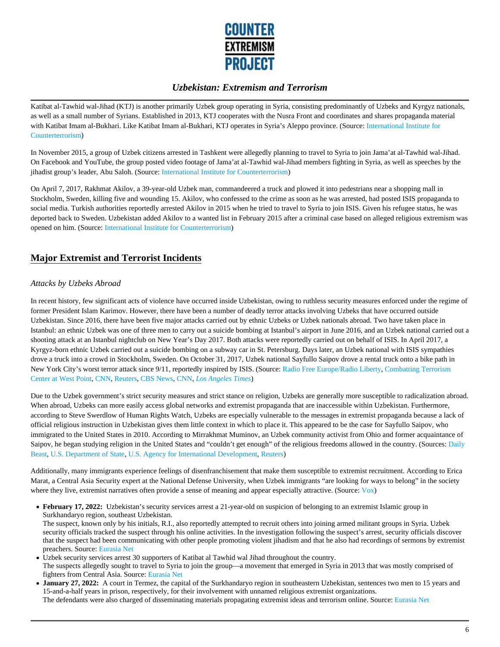

Katibat al-Tawhid wal-Jihad (KTJ) is another primarily Uzbek group operating in Syria, consisting predominantly of Uzbeks and Kyrgyz nationals, as well as a small number of Syrians. Established in 2013, KTJ cooperates with the Nusra Front and coordinates and shares propaganda material with Katibat Imam al-Bukhari. Like Katibat Imam al-Bukhari, KTJ operates in Syria's Aleppo province. (Source: International Institute for Counterterrorism)

In November 2015, a group of Uzbek citizens arrested in Tashkent were allegedly planning to travel to Syria to join Jama'at al-Tawhid wal-Jihad. On Facebook and YouTube, the group posted video footage of Jama'at al-Tawhid wal-Jihad members fighting in Syria, as well as speeches by the jihadist group's leader, Abu Saloh. (Source: International Institute for Counterterrorism)

On April 7, 2017, Rakhmat Akilov, a 39-year-old Uzbek man, commandeered a truck and plowed it into pedestrians near a shopping mall in Stockholm, Sweden, killing five and wounding 15. Akilov, who confessed to the crime as soon as he was arrested, had posted ISIS propaganda to social media. Turkish authorities reportedly arrested Akilov in 2015 when he tried to travel to Syria to join ISIS. Given his refugee status, he was deported back to Sweden. Uzbekistan added Akilov to a wanted list in February 2015 after a criminal case based on alleged religious extremism was opened on him. (Source: International Institute for Counterterrorism)

# **Major Extremist and Terrorist Incidents**

### *Attacks by Uzbeks Abroad*

In recent history, few significant acts of violence have occurred inside Uzbekistan, owing to ruthless security measures enforced under the regime of former President Islam Karimov. However, there have been a number of deadly terror attacks involving Uzbeks that have occurred outside Uzbekistan. Since 2016, there have been five major attacks carried out by ethnic Uzbeks or Uzbek nationals abroad. Two have taken place in Istanbul: an ethnic Uzbek was one of three men to carry out a suicide bombing at Istanbul's airport in June 2016, and an Uzbek national carried out a shooting attack at an Istanbul nightclub on New Year's Day 2017. Both attacks were reportedly carried out on behalf of ISIS. In April 2017, a Kyrgyz-born ethnic Uzbek carried out a suicide bombing on a subway car in St. Petersburg. Days later, an Uzbek national with ISIS sympathies drove a truck into a crowd in Stockholm, Sweden. On October 31, 2017, Uzbek national Sayfullo Saipov drove a rental truck onto a bike path in New York City's worst terror attack since 9/11, reportedly inspired by ISIS. (Source: Radio Free Europe/Radio Liberty, Combatting Terrorism Center at West Point, CNN, Reuters, CBS News, CNN, *Los Angeles Times*)

Due to the Uzbek government's strict security measures and strict stance on religion, Uzbeks are generally more susceptible to radicalization abroad. When abroad, Uzbeks can more easily access global networks and extremist propaganda that are inaccessible within Uzbekistan. Furthermore, according to Steve Swerdlow of Human Rights Watch, Uzbeks are especially vulnerable to the messages in extremist propaganda because a lack of official religious instruction in Uzbekistan gives them little context in which to place it. This appeared to be the case for Sayfullo Saipov, who immigrated to the United States in 2010. According to Mirrakhmat Muminov, an Uzbek community activist from Ohio and former acquaintance of Saipov, he began studying religion in the United States and "couldn't get enough" of the religious freedoms allowed in the country. (Sources: Daily Beast, U.S. Department of State, U.S. Agency for International Development, Reuters)

Additionally, many immigrants experience feelings of disenfranchisement that make them susceptible to extremist recruitment. According to Erica Marat, a Central Asia Security expert at the National Defense University, when Uzbek immigrants "are looking for ways to belong" in the society where they live, extremist narratives often provide a sense of meaning and appear especially attractive. (Source: Vox)

**February 17, 2022:** Uzbekistan's security services arrest a 21-year-old on suspicion of belonging to an extremist Islamic group in Surkhandaryo region, southeast Uzbekistan.

The suspect, known only by his initials, R.I., also reportedly attempted to recruit others into joining armed militant groups in Syria. Uzbek security officials tracked the suspect through his online activities. In the investigation following the suspect's arrest, security officials discover that the suspect had been communicating with other people promoting violent jihadism and that he also had recordings of sermons by extremist preachers. Source: Eurasia Net

- Uzbek security services arrest 30 supporters of Katibat al Tawhid wal Jihad throughout the country. The suspects allegedly sought to travel to Syria to join the group—a movement that emerged in Syria in 2013 that was mostly comprised of fighters from Central Asia. Source: Eurasia Net
- **January 27, 2022:** A court in Termez, the capital of the Surkhandaryo region in southeastern Uzbekistan, sentences two men to 15 years and 15-and-a-half years in prison, respectively, for their involvement with unnamed religious extremist organizations.

The defendants were also charged of disseminating materials propagating extremist ideas and terrorism online. Source: Eurasia Net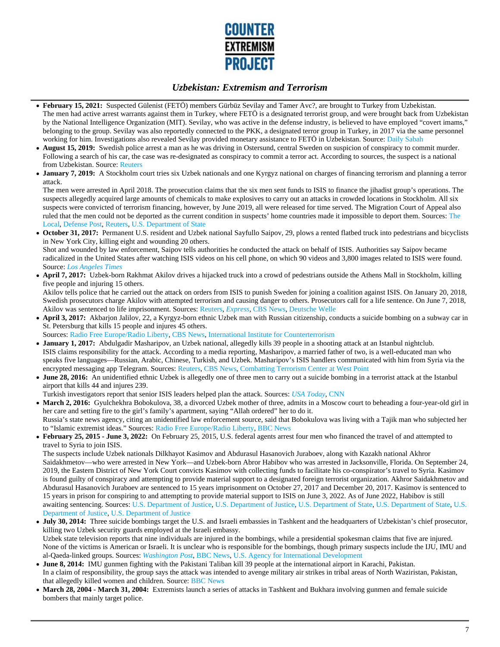

- **February 15, 2021:** Suspected Gülenist (FETÖ) members Gürbüz Sevilay and Tamer Avc?, are brought to Turkey from Uzbekistan. The men had active arrest warrants against them in Turkey, where FETÖ is a designated terrorist group, and were brought back from Uzbekistan by the National Intelligence Organization (MIT). Sevilay, who was active in the defense industry, is believed to have employed "covert imams," belonging to the group. Sevilay was also reportedly connected to the PKK, a designated terror group in Turkey, in 2017 via the same personnel working for him. Investigations also revealed Sevilay provided monetary assistance to FETÖ in Uzbekistan. Source: Daily Sabah
- **August 15, 2019:** Swedish police arrest a man as he was driving in Ostersund, central Sweden on suspicion of conspiracy to commit murder.  $\bullet$ Following a search of his car, the case was re-designated as conspiracy to commit a terror act. According to sources, the suspect is a national from Uzbekistan. Source: Reuters
- **January 7, 2019:** A Stockholm court tries six Uzbek nationals and one Kyrgyz national on charges of financing terrorism and planning a terror attack.

The men were arrested in April 2018. The prosecution claims that the six men sent funds to ISIS to finance the jihadist group's operations. The suspects allegedly acquired large amounts of chemicals to make explosives to carry out an attacks in crowded locations in Stockholm. All six suspects were convicted of terrorism financing, however, by June 2019, all were released for time served. The Migration Court of Appeal also ruled that the men could not be deported as the current condition in suspects' home countries made it impossible to deport them. Sources: The Local, Defense Post, Reuters, U.S. Department of State

- **October 31, 2017:** Permanent U.S. resident and Uzbek national Sayfullo Saipov, 29, plows a rented flatbed truck into pedestrians and bicyclists in New York City, killing eight and wounding 20 others. Shot and wounded by law enforcement, Saipov tells authorities he conducted the attack on behalf of ISIS. Authorities say Saipov became radicalized in the United States after watching ISIS videos on his cell phone, on which 90 videos and 3,800 images related to ISIS were found. Source: *Los Angeles Times*
- **April 7, 2017:** Uzbek-born Rakhmat Akilov drives a hijacked truck into a crowd of pedestrians outside the Athens Mall in Stockholm, killing five people and injuring 15 others.

Akilov tells police that he carried out the attack on orders from ISIS to punish Sweden for joining a coalition against ISIS. On January 20, 2018, Swedish prosecutors charge Akilov with attempted terrorism and causing danger to others. Prosecutors call for a life sentence. On June 7, 2018, Akilov was sentenced to life imprisonment. Sources: Reuters, *Express,* CBS News, Deutsche Welle

**April 3, 2017:** Akbarjon Jalilov, 22, a Kyrgyz-born ethnic Uzbek man with Russian citizenship, conducts a suicide bombing on a subway car in St. Petersburg that kills 15 people and injures 45 others.

Sources: Radio Free Europe/Radio Liberty, CBS News, International Institute for Counterterrorism

- **January 1, 2017:** Abdulgadir Masharipov, an Uzbek national, allegedly kills 39 people in a shooting attack at an Istanbul nightclub. ISIS claims responsibility for the attack. According to a media reporting, Masharipov, a married father of two, is a well-educated man who speaks five languages––Russian, Arabic, Chinese, Turkish, and Uzbek. Masharipov's ISIS handlers communicated with him from Syria via the encrypted messaging app Telegram. Sources: Reuters, CBS News, Combatting Terrorism Center at West Point
- **June 28, 2016:** An unidentified ethnic Uzbek is allegedly one of three men to carry out a suicide bombing in a terrorist attack at the Istanbul airport that kills 44 and injures 239.
- Turkish investigators report that senior ISIS leaders helped plan the attack. Sources: *USA Today*, CNN
- March 2, 2016: Gyulchekhra Bobokulova, 38, a divorced Uzbek mother of three, admits in a Moscow court to beheading a four-year-old girl in her care and setting fire to the girl's family's apartment, saying "Allah ordered" her to do it. Russia's state news agency, citing an unidentified law enforcement source, said that Bobokulova was living with a Tajik man who subjected her to "Islamic extremist ideas." Sources: Radio Free Europe/Radio Liberty, BBC News
- **February 25, 2015 June 3, 2022:** On February 25, 2015, U.S. federal agents arrest four men who financed the travel of and attempted to travel to Syria to join ISIS.

The suspects include Uzbek nationals Dilkhayot Kasimov and Abdurasul Hasanovich Juraboev, along with Kazakh national Akhror Saidakhmetov—who were arrested in New York—and Uzbek-born Abror Habibov who was arrested in Jacksonville, Florida. On September 24, 2019, the Eastern District of New York Court convicts Kasimov with collecting funds to facilitate his co-conspirator's travel to Syria. Kasimov is found guilty of conspiracy and attempting to provide material support to a designated foreign terrorist organization. Akhror Saidakhmetov and Abdurasul Hasanovich Juraboev are sentenced to 15 years imprisonment on October 27, 2017 and December 20, 2017. Kasimov is sentenced to 15 years in prison for conspiring to and attempting to provide material support to ISIS on June 3, 2022. As of June 2022, Habibov is still awaiting sentencing. Sources: U.S. Department of Justice, U.S. Department of Justice, U.S. Department of State, U.S. Department of State, U.S. Department of Justice, U.S. Department of Justice

- **July 30, 2014:** Three suicide bombings target the U.S. and Israeli embassies in Tashkent and the headquarters of Uzbekistan's chief prosecutor, killing two Uzbek security guards employed at the Israeli embassy. Uzbek state television reports that nine individuals are injured in the bombings, while a presidential spokesman claims that five are injured. None of the victims is American or Israeli. It is unclear who is responsible for the bombings, though primary suspects include the IJU, IMU and al-Qaeda-linked groups. Sources: *Washington Post*, BBC News, U.S. Agency for International Development
- **June 8, 2014:** IMU gunmen fighting with the Pakistani Taliban kill 39 people at the international airport in Karachi, Pakistan. In a claim of responsibility, the group says the attack was intended to avenge military air strikes in tribal areas of North Waziristan, Pakistan, that allegedly killed women and children. Source: BBC News
- **March 28, 2004 March 31, 2004:** Extremists launch a series of attacks in Tashkent and Bukhara involving gunmen and female suicide bombers that mainly target police.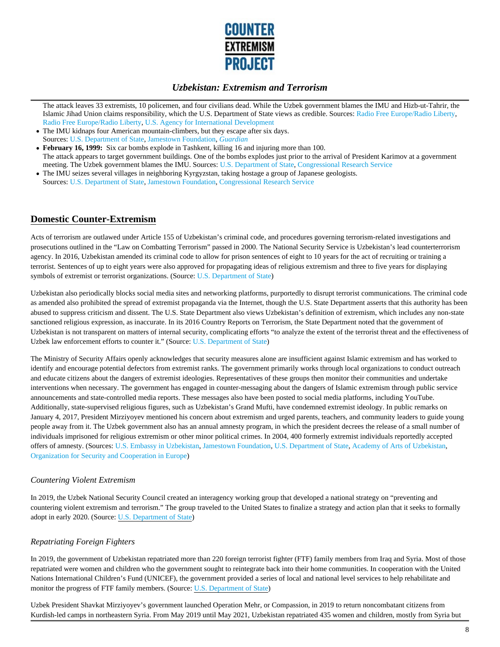

The attack leaves 33 extremists, 10 policemen, and four civilians dead. While the Uzbek government blames the IMU and Hizb-ut-Tahrir, the Islamic Jihad Union claims responsibility, which the U.S. Department of State views as credible. Sources: Radio Free Europe/Radio Liberty, Radio Free Europe/Radio Liberty, U.S. Agency for International Development

- The IMU kidnaps four American mountain-climbers, but they escape after six days. Sources: U.S. Department of State, Jamestown Foundation, *Guardian*
- **February 16, 1999:** Six car bombs explode in Tashkent, killing 16 and injuring more than 100. The attack appears to target government buildings. One of the bombs explodes just prior to the arrival of President Karimov at a government meeting. The Uzbek government blames the IMU. Sources: U.S. Department of State, Congressional Research Service
- The IMU seizes several villages in neighboring Kyrgyzstan, taking hostage a group of Japanese geologists. Sources: U.S. Department of State, Jamestown Foundation, Congressional Research Service

### **Domestic Counter-Extremism**

Acts of terrorism are outlawed under Article 155 of Uzbekistan's criminal code, and procedures governing terrorism-related investigations and prosecutions outlined in the "Law on Combatting Terrorism" passed in 2000. The National Security Service is Uzbekistan's lead counterterrorism agency. In 2016, Uzbekistan amended its criminal code to allow for prison sentences of eight to 10 years for the act of recruiting or training a terrorist. Sentences of up to eight years were also approved for propagating ideas of religious extremism and three to five years for displaying symbols of extremist or terrorist organizations. (Source: U.S. Department of State)

Uzbekistan also periodically blocks social media sites and networking platforms, purportedly to disrupt terrorist communications. The criminal code as amended also prohibited the spread of extremist propaganda via the Internet, though the U.S. State Department asserts that this authority has been abused to suppress criticism and dissent. The U.S. State Department also views Uzbekistan's definition of extremism, which includes any non-state sanctioned religious expression, as inaccurate. In its 2016 Country Reports on Terrorism, the State Department noted that the government of Uzbekistan is not transparent on matters of internal security, complicating efforts "to analyze the extent of the terrorist threat and the effectiveness of Uzbek law enforcement efforts to counter it." (Source: U.S. Department of State)

The Ministry of Security Affairs openly acknowledges that security measures alone are insufficient against Islamic extremism and has worked to identify and encourage potential defectors from extremist ranks. The government primarily works through local organizations to conduct outreach and educate citizens about the dangers of extremist ideologies. Representatives of these groups then monitor their communities and undertake interventions when necessary. The government has engaged in counter-messaging about the dangers of Islamic extremism through public service announcements and state-controlled media reports. These messages also have been posted to social media platforms, including YouTube. Additionally, state-supervised religious figures, such as Uzbekistan's Grand Mufti, have condemned extremist ideology. In public remarks on January 4, 2017, President Mirziyoyev mentioned his concern about extremism and urged parents, teachers, and community leaders to guide young people away from it. The Uzbek government also has an annual amnesty program, in which the president decrees the release of a small number of individuals imprisoned for religious extremism or other minor political crimes. In 2004, 400 formerly extremist individuals reportedly accepted offers of amnesty. (Sources: U.S. Embassy in Uzbekistan, Jamestown Foundation, U.S. Department of State, Academy of Arts of Uzbekistan, Organization for Security and Cooperation in Europe)

### *Countering Violent Extremism*

In 2019, the Uzbek National Security Council created an interagency working group that developed a national strategy on "preventing and countering violent extremism and terrorism." The group traveled to the United States to finalize a strategy and action plan that it seeks to formally adopt in early 2020. (Source: U.S. Department of State)

### *Repatriating Foreign Fighters*

In 2019, the government of Uzbekistan repatriated more than 220 foreign terrorist fighter (FTF) family members from Iraq and Syria. Most of those repatriated were women and children who the government sought to reintegrate back into their home communities. In cooperation with the United Nations International Children's Fund (UNICEF), the government provided a series of local and national level services to help rehabilitate and monitor the progress of FTF family members. (Source: U.S. Department of State)

Uzbek President Shavkat Mirziyoyev's government launched Operation Mehr, or Compassion, in 2019 to return noncombatant citizens from Kurdish-led camps in northeastern Syria. From May 2019 until May 2021, Uzbekistan repatriated 435 women and children, mostly from Syria but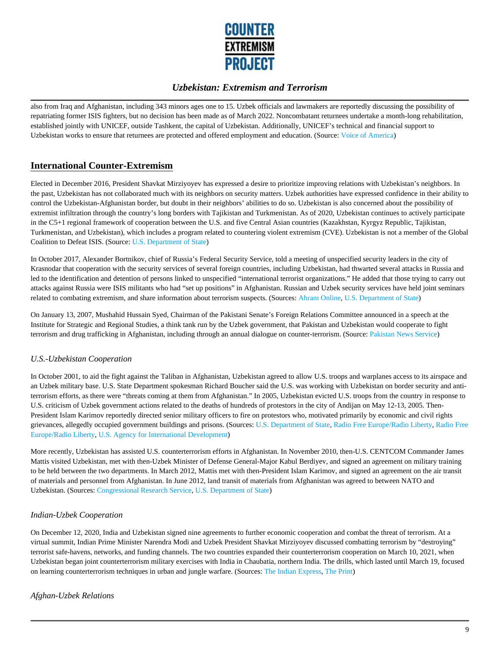

also from Iraq and Afghanistan, including 343 minors ages one to 15. Uzbek officials and lawmakers are reportedly discussing the possibility of repatriating former ISIS fighters, but no decision has been made as of March 2022. Noncombatant returnees undertake a month-long rehabilitation, established jointly with UNICEF, outside Tashkent, the capital of Uzbekistan. Additionally, UNICEF's technical and financial support to Uzbekistan works to ensure that returnees are protected and offered employment and education. (Source: Voice of America)

# **International Counter-Extremism**

Elected in December 2016, President Shavkat Mirziyoyev has expressed a desire to prioritize improving relations with Uzbekistan's neighbors. In the past, Uzbekistan has not collaborated much with its neighbors on security matters. Uzbek authorities have expressed confidence in their ability to control the Uzbekistan-Afghanistan border, but doubt in their neighbors' abilities to do so. Uzbekistan is also concerned about the possibility of extremist infiltration through the country's long borders with Tajikistan and Turkmenistan. As of 2020, Uzbekistan continues to actively participate in the C5+1 regional framework of cooperation between the U.S. and five Central Asian countries (Kazakhstan, Kyrgyz Republic, Tajikistan, Turkmenistan, and Uzbekistan), which includes a program related to countering violent extremism (CVE). Uzbekistan is not a member of the Global Coalition to Defeat ISIS. (Source: U.S. Department of State)

In October 2017, Alexander Bortnikov, chief of Russia's Federal Security Service, told a meeting of unspecified security leaders in the city of Krasnodar that cooperation with the security services of several foreign countries, including Uzbekistan, had thwarted several attacks in Russia and led to the identification and detention of persons linked to unspecified "international terrorist organizations." He added that those trying to carry out attacks against Russia were ISIS militants who had "set up positions" in Afghanistan. Russian and Uzbek security services have held joint seminars related to combating extremism, and share information about terrorism suspects. (Sources: Ahram Online, U.S. Department of State)

On January 13, 2007, Mushahid Hussain Syed, Chairman of the Pakistani Senate's Foreign Relations Committee announced in a speech at the Institute for Strategic and Regional Studies, a think tank run by the Uzbek government, that Pakistan and Uzbekistan would cooperate to fight terrorism and drug trafficking in Afghanistan, including through an annual dialogue on counter-terrorism. (Source: Pakistan News Service)

### *U.S.-Uzbekistan Cooperation*

In October 2001, to aid the fight against the Taliban in Afghanistan, Uzbekistan agreed to allow U.S. troops and warplanes access to its airspace and an Uzbek military base. U.S. State Department spokesman Richard Boucher said the U.S. was working with Uzbekistan on border security and antiterrorism efforts, as there were "threats coming at them from Afghanistan." In 2005, Uzbekistan evicted U.S. troops from the country in response to U.S. criticism of Uzbek government actions related to the deaths of hundreds of protestors in the city of Andijan on May 12-13, 2005. Then-President Islam Karimov reportedly directed senior military officers to fire on protestors who, motivated primarily by economic and civil rights grievances, allegedly occupied government buildings and prisons. (Sources: U.S. Department of State, Radio Free Europe/Radio Liberty, Radio Free Europe/Radio Liberty, U.S. Agency for International Development)

More recently, Uzbekistan has assisted U.S. counterterrorism efforts in Afghanistan. In November 2010, then-U.S. CENTCOM Commander James Mattis visited Uzbekistan, met with then-Uzbek Minister of Defense General-Major Kabul Berdiyev, and signed an agreement on military training to be held between the two departments. In March 2012, Mattis met with then-President Islam Karimov, and signed an agreement on the air transit of materials and personnel from Afghanistan. In June 2012, land transit of materials from Afghanistan was agreed to between NATO and Uzbekistan. (Sources: Congressional Research Service, U.S. Department of State)

### *Indian-Uzbek Cooperation*

On December 12, 2020, India and Uzbekistan signed nine agreements to further economic cooperation and combat the threat of terrorism. At a virtual summit, Indian Prime Minister Narendra Modi and Uzbek President Shavkat Mirziyoyev discussed combatting terrorism by "destroying" terrorist safe-havens, networks, and funding channels. The two countries expanded their counterterrorism cooperation on March 10, 2021, when Uzbekistan began joint counterterrorism military exercises with India in Chaubatia, northern India. The drills, which lasted until March 19, focused on learning counterterrorism techniques in urban and jungle warfare. (Sources: The Indian Express, The Print)

### *Afghan-Uzbek Relations*